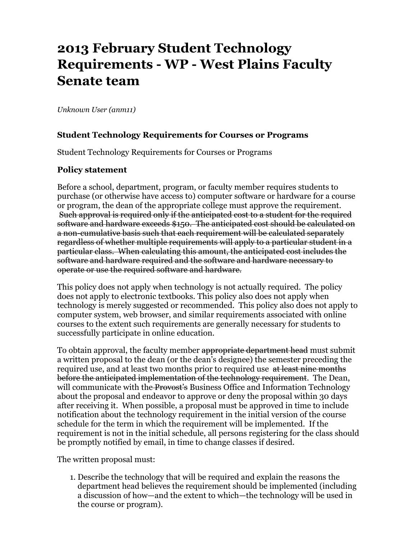# **2013 February Student Technology Requirements - WP - West Plains Faculty Senate team**

*Unknown User (anm11)*

### **Student Technology Requirements for Courses or Programs**

Student Technology Requirements for Courses or Programs

#### **Policy statement**

Before a school, department, program, or faculty member requires students to purchase (or otherwise have access to) computer software or hardware for a course or program, the dean of the appropriate college must approve the requirement. Such approval is required only if the anticipated cost to a student for the required software and hardware exceeds \$150. The anticipated cost should be calculated on a non-cumulative basis such that each requirement will be calculated separately regardless of whether multiple requirements will apply to a particular student in a particular class. When calculating this amount, the anticipated cost includes the software and hardware required and the software and hardware necessary to operate or use the required software and hardware.

This policy does not apply when technology is not actually required. The policy does not apply to electronic textbooks. This policy also does not apply when technology is merely suggested or recommended. This policy also does not apply to computer system, web browser, and similar requirements associated with online courses to the extent such requirements are generally necessary for students to successfully participate in online education.

To obtain approval, the faculty member appropriate department head must submit a written proposal to the dean (or the dean's designee) the semester preceding the required use, and at least two months prior to required use at least nine months before the anticipated implementation of the technology requirement. The Dean, will communicate with the Provost's Business Office and Information Technology about the proposal and endeavor to approve or deny the proposal within 30 days after receiving it. When possible, a proposal must be approved in time to include notification about the technology requirement in the initial version of the course schedule for the term in which the requirement will be implemented. If the requirement is not in the initial schedule, all persons registering for the class should be promptly notified by email, in time to change classes if desired.

The written proposal must:

1. Describe the technology that will be required and explain the reasons the department head believes the requirement should be implemented (including a discussion of how—and the extent to which—the technology will be used in the course or program).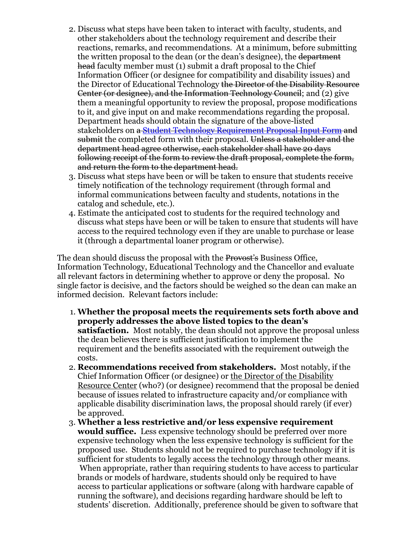- 2. Discuss what steps have been taken to interact with faculty, students, and other stakeholders about the technology requirement and describe their reactions, remarks, and recommendations. At a minimum, before submitting the written proposal to the dean (or the dean's designee), the department head faculty member must (1) submit a draft proposal to the Chief Information Officer (or designee for compatibility and disability issues) and the Director of Educational Technology the Director of the Disability Resource Center (or designee), and the Information Technology Council; and (2) give them a meaningful opportunity to review the proposal, propose modifications to it, and give input on and make recommendations regarding the proposal. Department heads should obtain the signature of the above-listed stakeholders on a Student Technology Requirement Proposal Input Form and submit the completed form with their proposal. Unless a stakeholder and the department head agree otherwise, each stakeholder shall have 20 days following receipt of the form to review the draft proposal, complete the form, and return the form to the department head.
- 3. Discuss what steps have been or will be taken to ensure that students receive timely notification of the technology requirement (through formal and informal communications between faculty and students, notations in the catalog and schedule, etc.).
- 4. Estimate the anticipated cost to students for the required technology and discuss what steps have been or will be taken to ensure that students will have access to the required technology even if they are unable to purchase or lease it (through a departmental loaner program or otherwise).

The dean should discuss the proposal with the Provost's Business Office, Information Technology, Educational Technology and the Chancellor and evaluate all relevant factors in determining whether to approve or deny the proposal. No single factor is decisive, and the factors should be weighed so the dean can make an informed decision. Relevant factors include:

- 1. **Whether the proposal meets the requirements sets forth above and properly addresses the above listed topics to the dean's satisfaction.** Most notably, the dean should not approve the proposal unless the dean believes there is sufficient justification to implement the requirement and the benefits associated with the requirement outweigh the costs.
- 2. **Recommendations received from stakeholders.** Most notably, if the Chief Information Officer (or designee) or the Director of the Disability Resource Center (who?) (or designee) recommend that the proposal be denied because of issues related to infrastructure capacity and/or compliance with applicable disability discrimination laws, the proposal should rarely (if ever) be approved.
- 3. **Whether a less restrictive and/or less expensive requirement would suffice.** Less expensive technology should be preferred over more expensive technology when the less expensive technology is sufficient for the proposed use. Students should not be required to purchase technology if it is sufficient for students to legally access the technology through other means. When appropriate, rather than requiring students to have access to particular brands or models of hardware, students should only be required to have access to particular applications or software (along with hardware capable of running the software), and decisions regarding hardware should be left to students' discretion. Additionally, preference should be given to software that